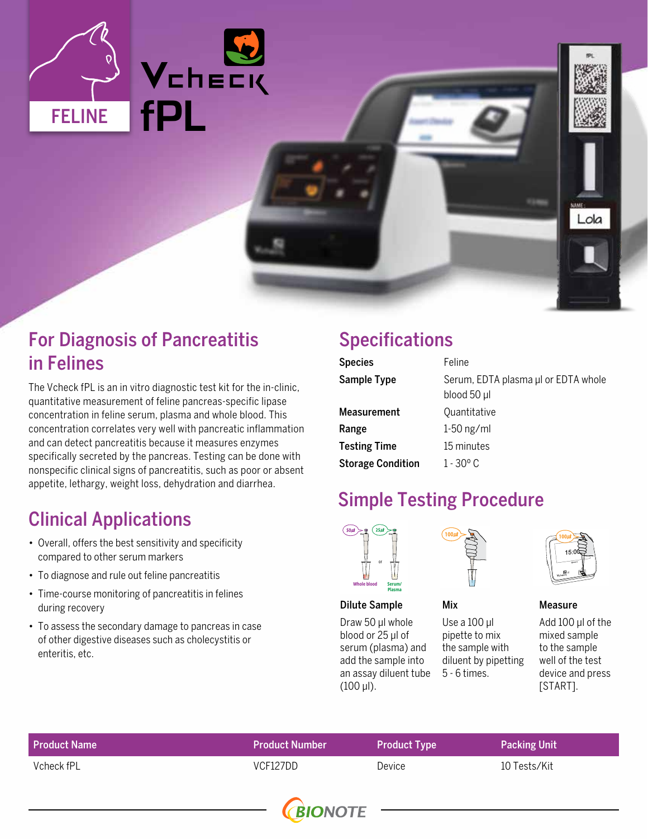

### For Diagnosis of Pancreatitis in Felines

The Vcheck fPL is an in vitro diagnostic test kit for the in-clinic, quantitative measurement of feline pancreas-specific lipase concentration in feline serum, plasma and whole blood. This concentration correlates very well with pancreatic inflammation and can detect pancreatitis because it measures enzymes specifically secreted by the pancreas. Testing can be done with nonspecific clinical signs of pancreatitis, such as poor or absent appetite, lethargy, weight loss, dehydration and diarrhea.

## Clinical Applications

- Overall, offers the best sensitivity and specificity compared to other serum markers
- To diagnose and rule out feline pancreatitis
- Time-course monitoring of pancreatitis in felines during recovery
- To assess the secondary damage to pancreas in case of other digestive diseases such as cholecystitis or enteritis, etc.

### Specifications

| <b>Species</b>           | Feline                                             |
|--------------------------|----------------------------------------------------|
| Sample Type              | Serum, EDTA plasma µl or EDTA whole<br>blood 50 µl |
| <b>Measurement</b>       | Quantitative                                       |
| Range                    | $1-50$ ng/ml                                       |
| <b>Testing Time</b>      | 15 minutes                                         |
| <b>Storage Condition</b> | $1 - 30^{\circ}$ C                                 |

### Simple Testing Procedure

Mix



### Dilute Sample

Draw 50 μl whole blood or 25 μl of serum (plasma) and add the sample into an assay diluent tube (100 μl).



Use a 100 μl pipette to mix the sample with diluent by pipetting

5 - 6 times.

Lola

Measure

Add 100 μl of the mixed sample to the sample well of the test device and press [START].

| <b>Product Name</b> | <b>Product Number</b> | <b>Product Type</b> | <b>Packing Unit</b> |
|---------------------|-----------------------|---------------------|---------------------|
| Vcheck fPL          | VCF127DD              | Device              | 10 Tests/Kit        |
|                     |                       |                     |                     |